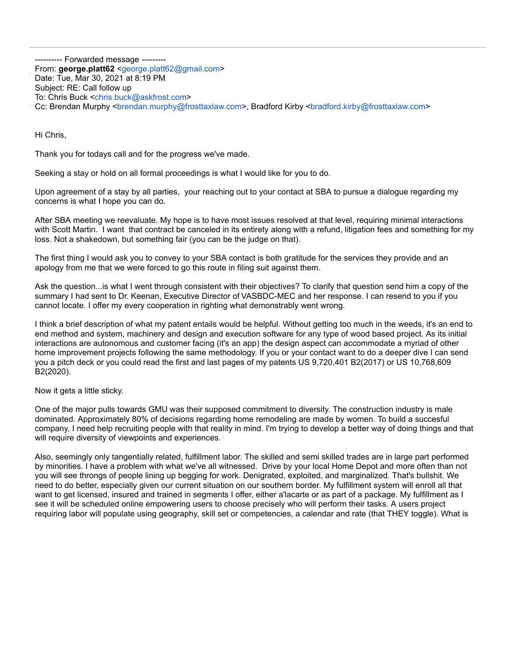---------- Forwarded message --------- From: **george.platt62** <[george.platt62@gmail.com](mailto:george.platt62@gmail.com)> Date: Tue, Mar 30, 2021 at 8:19 PM Subject: RE: Call follow up To: Chris Buck <[chris.buck@askfrost.com>](mailto:chris.buck@askfrost.com) Cc: Brendan Murphy <br />
<br />
com>, Bradford Kirby <br />
<br />
<br />
<br />
Com>, Bradford Kirby <br />
<br />
<br />
<br />
<br />
<br />
Com>, Bradford Kirby <br />
<br />
<br />
<br />
<br />
<br />
<br />
<br />

Hi Chris,

Thank you for todays call and for the progress we've made.

Seeking a stay or hold on all formal proceedings is what I would like for you to do.

Upon agreement of a stay by all parties, your reaching out to your contact at SBA to pursue a dialogue regarding my concerns is what I hope you can do.

After SBA meeting we reevaluate. My hope is to have most issues resolved at that level, requiring minimal interactions with Scott Martin. I want that contract be canceled in its entirety along with a refund, litigation fees and something for my loss. Not a shakedown, but something fair (you can be the judge on that).

The first thing I would ask you to convey to your SBA contact is both gratitude for the services they provide and an apology from me that we were forced to go this route in filing suit against them.

Ask the question...is what I went through consistent with their objectives? To clarify that question send him a copy of the summary I had sent to Dr. Keenan, Executive Director of VASBDC-MEC and her response. I can resend to you if you cannot locate. I offer my every cooperation in righting what demonstrably went wrong.

I think a brief description of what my patent entails would be helpful. Without getting too much in the weeds, it's an end to end method and system, machinery and design and execution software for any type of wood based project. As its initial interactions are autonomous and customer facing (it's an app) the design aspect can accommodate a myriad of other home improvement projects following the same methodology. If you or your contact want to do a deeper dive I can send you a pitch deck or you could read the first and last pages of my patents US 9,720,401 B2(2017) or US 10,768,609 B2(2020).

Now it gets a little sticky.

One of the major pulls towards GMU was their supposed commitment to diversity. The construction industry is male dominated. Approximately 80% of decisions regarding home remodeling are made by women. To build a succesful company, I need help recruiting people with that reality in mind. I'm trying to develop a better way of doing things and that will require diversity of viewpoints and experiences.

Also, seemingly only tangentially related, fulfillment labor. The skilled and semi skilled trades are in large part performed by minorities. I have a problem with what we've all witnessed. Drive by your local Home Depot and more often than not you will see throngs of people lining up begging for work. Denigrated, exploited, and marginalized. That's bullshit. We need to do better, especially given our current situation on our southern border. My fulfillment system will enroll all that want to get licensed, insured and trained in segments I offer, either a'lacarte or as part of a package. My fulfillment as I see it will be scheduled online empowering users to choose precisely who will perform their tasks. A users project requiring labor will populate using geography, skill set or competencies, a calendar and rate (that THEY toggle). What is